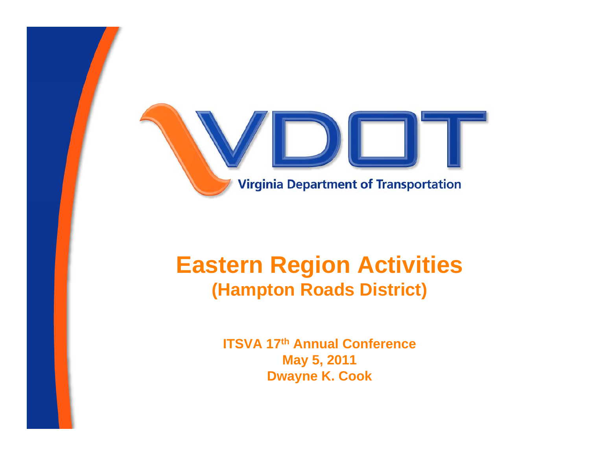

## **Eastern Region Activities (Hampton Roads District)**

**ITSVA 17th Annual Conference** May 5, 2011 **Dwayne K. Cook**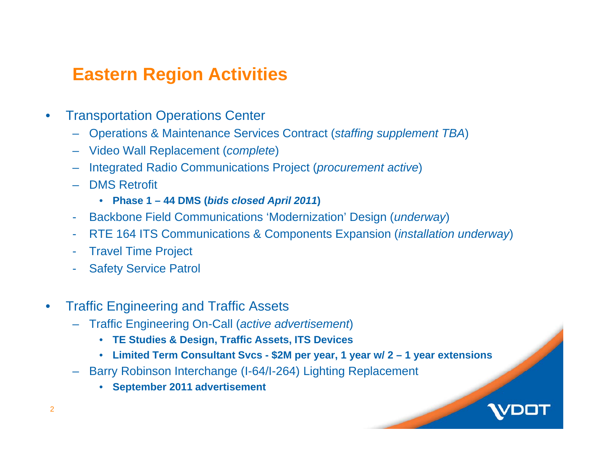#### **Eastern Region Activities**

- • Transportation Operations Center
	- Operations & Maintenance Services Contract (*staffing supplement TBA*)
	- Video Wall Replacement (*complete*)
	- Integrated Radio Communications Project (*procurement active*)
	- DMS Retrofit
		- **Phase 1 – 44 DMS (** *bids closed April 2011* **)**
	- Backbone Field Communications 'Modernization' Design (*underway*)
	- RTE 164 ITS Communications & Components Expansion (*installation underway*)
	- Travel Time Project
	- Safety Service Patrol
- $\bullet$  Traffic Engineering and Traffic Assets
	- Traffic Engineering On-Call (*active advertisement*)
		- **TE Studies & Design, Traffic Assets, ITS Devices**
		- **Limited Term Consultant Svcs - \$2M per year, 1 year w/ 2 – 1 year extensions**
	- Barry Robinson Interchange (I-64/I-264) Lighting Replacement
		- **September 2011 advertisement**

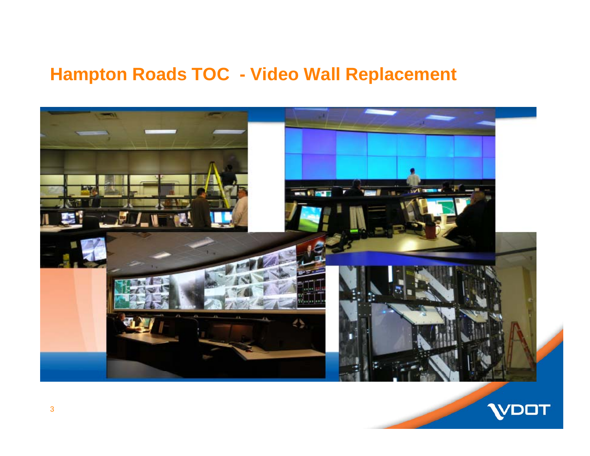#### **Hampton Roads TOC - Video Wall Replacement**



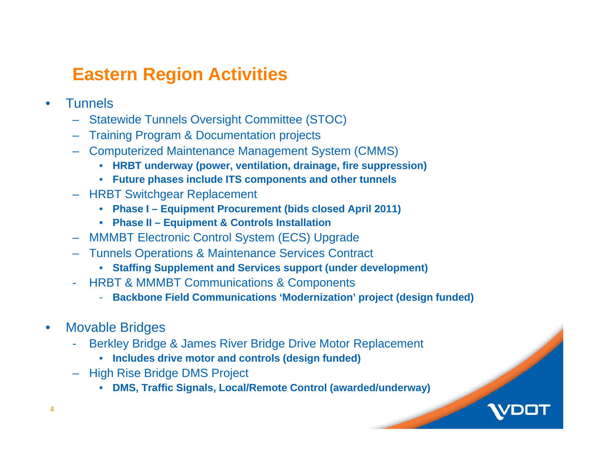### **Eastern Region Activities**

- •**Tunnels** 
	- Statewide Tunnels Oversight Committee (STOC)
	- Training Program & Documentation projects
	- Computerized Maintenance Management System (CMMS)
		- **HRBT underway (power, ventilation, drainage, fire suppression)**
		- **Future phases include ITS components and other tunnels**
	- HRBT Switchgear Replacement
		- **Phase I – Equipment Procurement (bids closed April 2011)**
		- **Phase II – Equipment & Controls Installation**
	- MMMBT Electronic Control System (ECS) Upgrade
	- Tunnels Operations & Maintenance Services Contract
		- **Staffing Supplement and Services support (under development)**
	- HRBT & MMMBT Communications & Components
		- **Backbone Field Communications 'Modernization' project (design funded)**
- $\bullet$  Movable Bridges
	- - Berkley Bridge & James River Bridge Drive Motor Replacement
		- **Includes drive motor and controls (design funded)**
	- High Rise Bridge DMS Project
		- **DMS, Traffic Signals, Local/Remote Control (awarded/underway)**